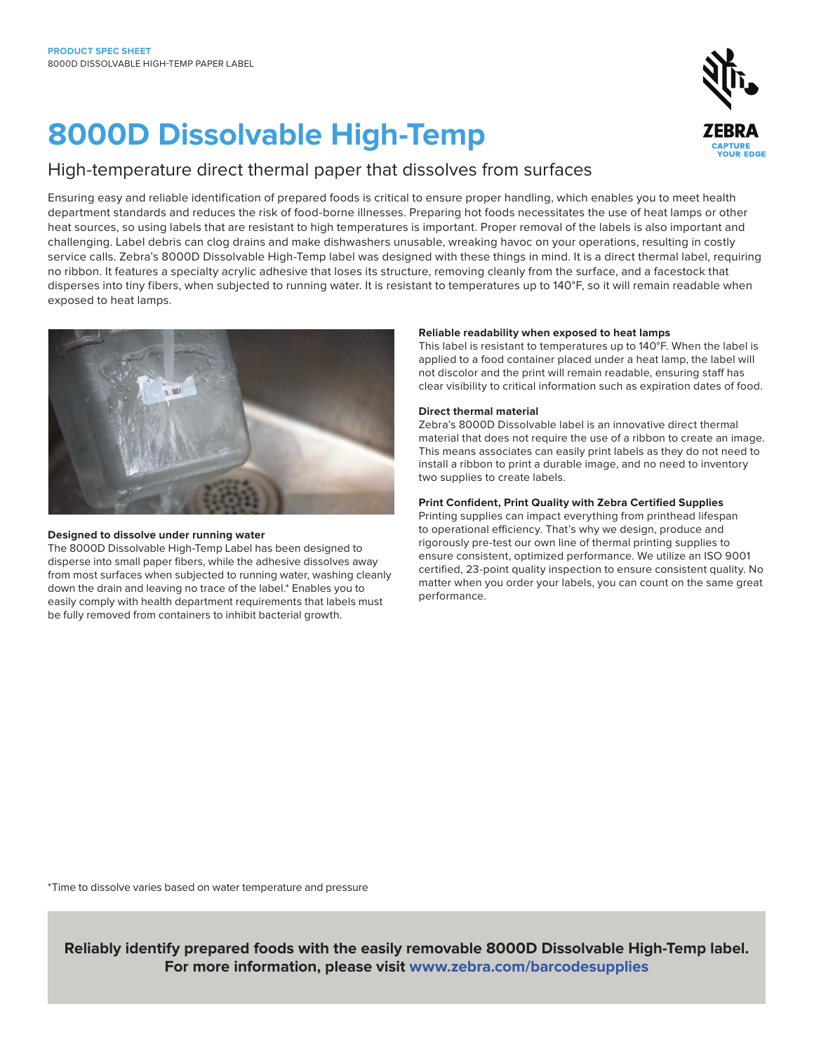# **8000D Dissolvable High-Temp**

### High-temperature direct thermal paper that dissolves from surfaces

Ensuring easy and reliable identification of prepared foods is critical to ensure proper handling, which enables you to meet health department standards and reduces the risk of food-borne illnesses. Preparing hot foods necessitates the use of heat lamps or other heat sources, so using labels that are resistant to high temperatures is important. Proper removal of the labels is also important and challenging. Label debris can clog drains and make dishwashers unusable, wreaking havoc on your operations, resulting in costly service calls. Zebra's 8000D Dissolvable High-Temp label was designed with these things in mind. It is a direct thermal label, requiring no ribbon. It features a specialty acrylic adhesive that loses its structure, removing cleanly from the surface, and a facestock that disperses into tiny fibers, when subjected to running water. It is resistant to temperatures up to 140°F, so it will remain readable when exposed to heat lamps.



#### **Designed to dissolve under running water**

The 8000D Dissolvable High-Temp Label has been designed to disperse into small paper fibers, while the adhesive dissolves away from most surfaces when subjected to running water, washing cleanly down the drain and leaving no trace of the label.\* Enables you to easily comply with health department requirements that labels must be fully removed from containers to inhibit bacterial growth.

#### **Reliable readability when exposed to heat lamps**

This label is resistant to temperatures up to 140°F. When the label is applied to a food container placed under a heat lamp, the label will not discolor and the print will remain readable, ensuring staff has clear visibility to critical information such as expiration dates of food.

#### **Direct thermal material**

Zebra's 8000D Dissolvable label is an innovative direct thermal material that does not require the use of a ribbon to create an image. This means associates can easily print labels as they do not need to install a ribbon to print a durable image, and no need to inventory two supplies to create labels.

#### **Print Confident, Print Quality with Zebra Certified Supplies**

Printing supplies can impact everything from printhead lifespan to operational efficiency. That's why we design, produce and rigorously pre-test our own line of thermal printing supplies to ensure consistent, optimized performance. We utilize an ISO 9001 certified, 23-point quality inspection to ensure consistent quality. No matter when you order your labels, you can count on the same great performance.

\*Time to dissolve varies based on water temperature and pressure

**Reliably identify prepared foods with the easily removable 8000D Dissolvable High-Temp label. For more information, please visit [www.zebra.com/barcodesupplies](https://www.zebra.com/us/en/cpn/certified-supplies.html)**